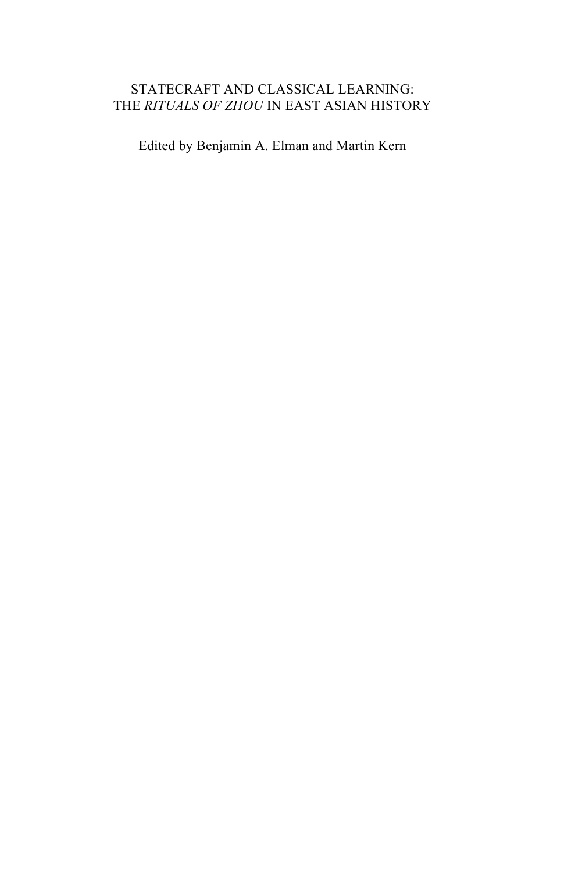# STATECRAFT AND CLASSICAL LEARNING: THE *RITUALS OF ZHOU* IN EAST ASIAN HISTORY

Edited by Benjamin A. Elman and Martin Kern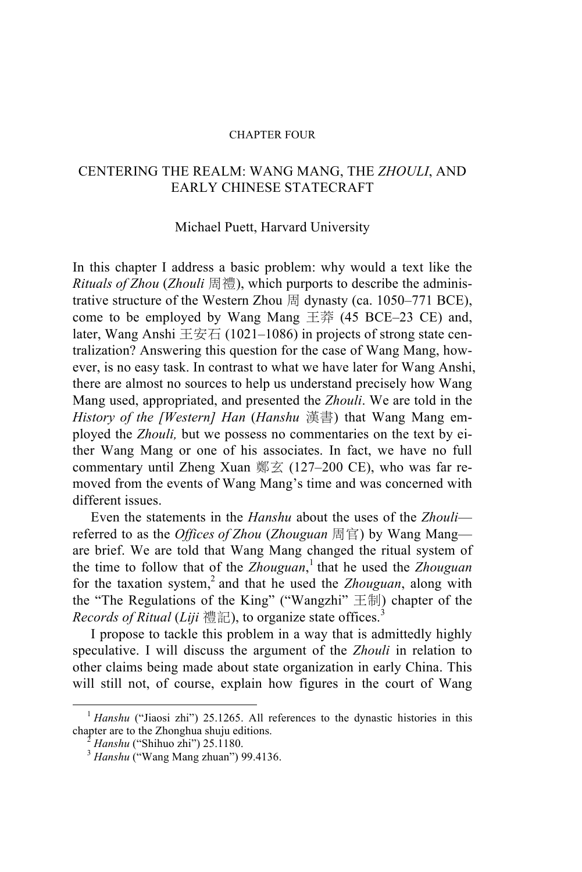# CENTERING THE REALM: WANG MANG, THE *ZHOULI*, AND EARLY CHINESE STATECRAFT

# Michael Puett, Harvard University

In this chapter I address a basic problem: why would a text like the *Rituals of Zhou* (*Zhouli* !"), which purports to describe the administrative structure of the Western Zhou  $\boxplus$  dynasty (ca. 1050–771 BCE), come to be employed by Wang Mang  $\pm \frac{2}{3}$  (45 BCE–23 CE) and, later, Wang Anshi  $\pm \overline{\mathcal{L}} \overline{\mathcal{L}}$  (1021–1086) in projects of strong state centralization? Answering this question for the case of Wang Mang, however, is no easy task. In contrast to what we have later for Wang Anshi, there are almost no sources to help us understand precisely how Wang Mang used, appropriated, and presented the *Zhouli*. We are told in the *History of the [Western] Han (Hanshu* 漢書) that Wang Mang employed the *Zhouli,* but we possess no commentaries on the text by either Wang Mang or one of his associates. In fact, we have no full commentary until Zheng Xuan  $\frac{m}{2}$  (127–200 CE), who was far removed from the events of Wang Mang's time and was concerned with different issues.

Even the statements in the *Hanshu* about the uses of the *Zhouli* referred to as the *Offices of Zhou* (*Zhouguan* !+) by Wang Mang are brief. We are told that Wang Mang changed the ritual system of the time to follow that of the *Zhouguan*, 1 that he used the *Zhouguan* for the taxation system,<sup>2</sup> and that he used the *Zhouguan*, along with the "The Regulations of the King" ("Wangzhi"  $\pm \frac{1}{2}$ ) chapter of the *Records of Ritual (Liji*  $\ddot{\equiv}$   $\ddot{\equiv}$ ), to organize state offices.<sup>3</sup>

I propose to tackle this problem in a way that is admittedly highly speculative. I will discuss the argument of the *Zhouli* in relation to other claims being made about state organization in early China. This will still not, of course, explain how figures in the court of Wang

<sup>&</sup>lt;sup>1</sup> *Hanshu* ("Jiaosi zhi") 25.1265. All references to the dynastic histories in this chapter are to the Zhonghua shuju editions.

 $\frac{2}{3}$ *Hanshu* ("Shihuo zhi") 25.1180.  $\frac{3}{3}$ *Hanshu* ("Wang Mang zhuan") 99.4136.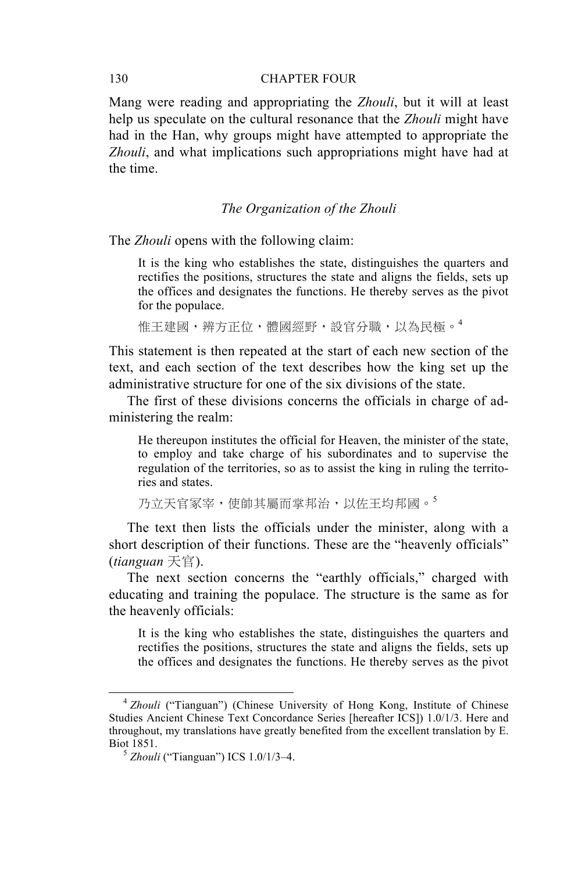Mang were reading and appropriating the *Zhouli*, but it will at least help us speculate on the cultural resonance that the *Zhouli* might have had in the Han, why groups might have attempted to appropriate the *Zhouli*, and what implications such appropriations might have had at the time.

### *The Organization of the Zhouli*

The *Zhouli* opens with the following claim:

It is the king who establishes the state, distinguishes the quarters and rectifies the positions, structures the state and aligns the fields, sets up the offices and designates the functions. He thereby serves as the pivot for the populace.

惟王建國,辨方正位,體國經野,設官分職,以為民極。4

This statement is then repeated at the start of each new section of the text, and each section of the text describes how the king set up the administrative structure for one of the six divisions of the state.

The first of these divisions concerns the officials in charge of administering the realm:

He thereupon institutes the official for Heaven, the minister of the state, to employ and take charge of his subordinates and to supervise the regulation of the territories, so as to assist the king in ruling the territories and states.

 $D$ 立天官冢宰,使帥其屬而掌邦治,以佐王均邦國。

The text then lists the officials under the minister, along with a short description of their functions. These are the "heavenly officials"  $(tian. \pm \mathbb{E})$ .

The next section concerns the "earthly officials," charged with educating and training the populace. The structure is the same as for the heavenly officials:

It is the king who establishes the state, distinguishes the quarters and rectifies the positions, structures the state and aligns the fields, sets up the offices and designates the functions. He thereby serves as the pivot

<sup>&</sup>lt;sup>4</sup> Zhouli ("Tianguan") (Chinese University of Hong Kong, Institute of Chinese Studies Ancient Chinese Text Concordance Series [hereafter ICS]) 1.0/1/3. Here and throughout, my translations have greatly benefited from the excellent translation by E.

 $<sup>5</sup> Zhouli$  ("Tianguan") ICS 1.0/1/3-4.</sup>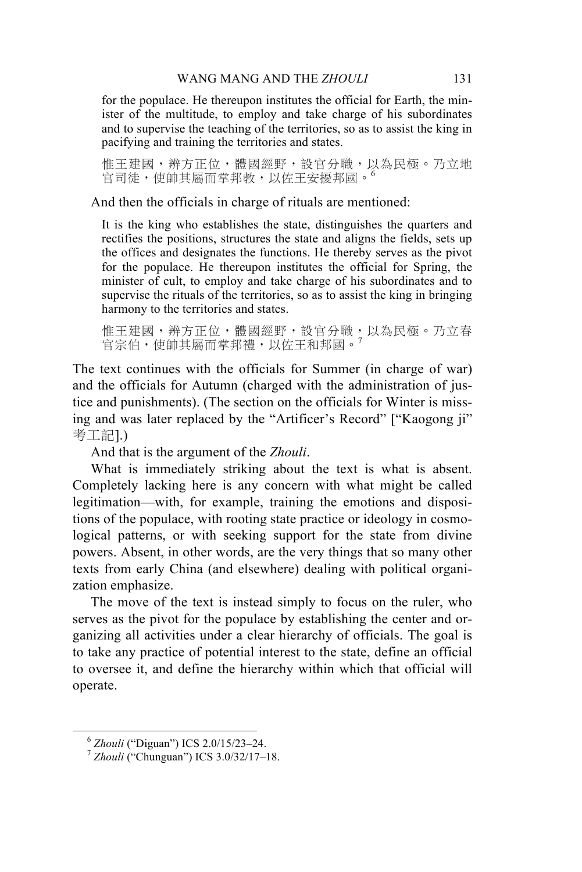for the populace. He thereupon institutes the official for Earth, the minister of the multitude, to employ and take charge of his subordinates and to supervise the teaching of the territories, so as to assist the king in pacifying and training the territories and states.

惟王建國,辨方正位,體國經野,設官分職,以為民極。乃立地 官司徒,使帥其屬而掌邦教,以佐王安擾邦國。6

And then the officials in charge of rituals are mentioned:

It is the king who establishes the state, distinguishes the quarters and rectifies the positions, structures the state and aligns the fields, sets up the offices and designates the functions. He thereby serves as the pivot for the populace. He thereupon institutes the official for Spring, the minister of cult, to employ and take charge of his subordinates and to supervise the rituals of the territories, so as to assist the king in bringing harmony to the territories and states.

惟王建國,辨方正位,體國經野,設官分職,以為民極。乃立春 官宗伯,使帥其屬而掌邦禮,以佐王和邦國。

The text continues with the officials for Summer (in charge of war) and the officials for Autumn (charged with the administration of justice and punishments). (The section on the officials for Winter is missing and was later replaced by the "Artificer's Record" ["Kaogong ji" 考工記1)

And that is the argument of the *Zhouli*.

What is immediately striking about the text is what is absent. Completely lacking here is any concern with what might be called legitimation—with, for example, training the emotions and dispositions of the populace, with rooting state practice or ideology in cosmological patterns, or with seeking support for the state from divine powers. Absent, in other words, are the very things that so many other texts from early China (and elsewhere) dealing with political organization emphasize.

The move of the text is instead simply to focus on the ruler, who serves as the pivot for the populace by establishing the center and organizing all activities under a clear hierarchy of officials. The goal is to take any practice of potential interest to the state, define an official to oversee it, and define the hierarchy within which that official will operate.

<sup>6</sup> *Zhouli* ("Diguan") ICS 2.0/15/23–24. <sup>7</sup> *Zhouli* ("Chunguan") ICS 3.0/32/17–18.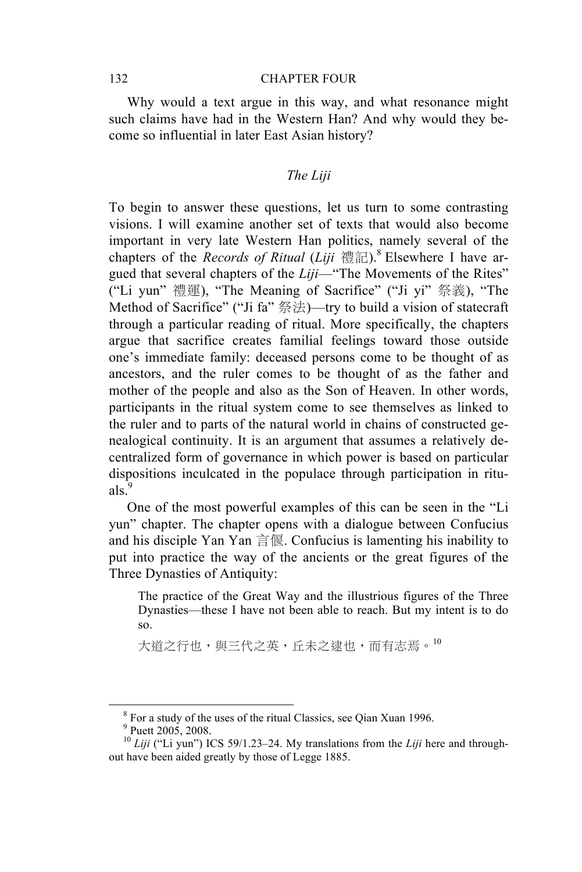Why would a text argue in this way, and what resonance might such claims have had in the Western Han? And why would they become so influential in later East Asian history?

# *The Liji*

To begin to answer these questions, let us turn to some contrasting visions. I will examine another set of texts that would also become important in very late Western Han politics, namely several of the chapters of the *Records of Ritual* (*Liji* 禮記).<sup>8</sup> Elsewhere I have argued that several chapters of the *Liji*—"The Movements of the Rites" ("Li yun" 禮運), "The Meaning of Sacrifice" ("Ji yi" 祭義), "The Method of Sacrifice" ("Ji fa"  $\frac{4}{3}$ ) $\frac{1}{2}$  try to build a vision of statecraft through a particular reading of ritual. More specifically, the chapters argue that sacrifice creates familial feelings toward those outside one's immediate family: deceased persons come to be thought of as ancestors, and the ruler comes to be thought of as the father and mother of the people and also as the Son of Heaven. In other words, participants in the ritual system come to see themselves as linked to the ruler and to parts of the natural world in chains of constructed genealogical continuity. It is an argument that assumes a relatively decentralized form of governance in which power is based on particular dispositions inculcated in the populace through participation in rituals $\frac{9}{2}$ 

One of the most powerful examples of this can be seen in the "Li yun" chapter. The chapter opens with a dialogue between Confucius and his disciple Yan Yan  $\equiv \mathbb{R}$ . Confucius is lamenting his inability to put into practice the way of the ancients or the great figures of the Three Dynasties of Antiquity:

The practice of the Great Way and the illustrious figures of the Three Dynasties—these I have not been able to reach. But my intent is to do so.

大道之行也,與三代之英,丘未之逮也,而有志焉。<sup>10</sup>

 <sup>8</sup> For a study of the uses of the ritual Classics, see Qian Xuan 1996.

 $9$  Puett 2005, 2008.

 $^{10}$  *Liji* ("Li yun") ICS 59/1.23–24. My translations from the *Liji* here and throughout have been aided greatly by those of Legge 1885.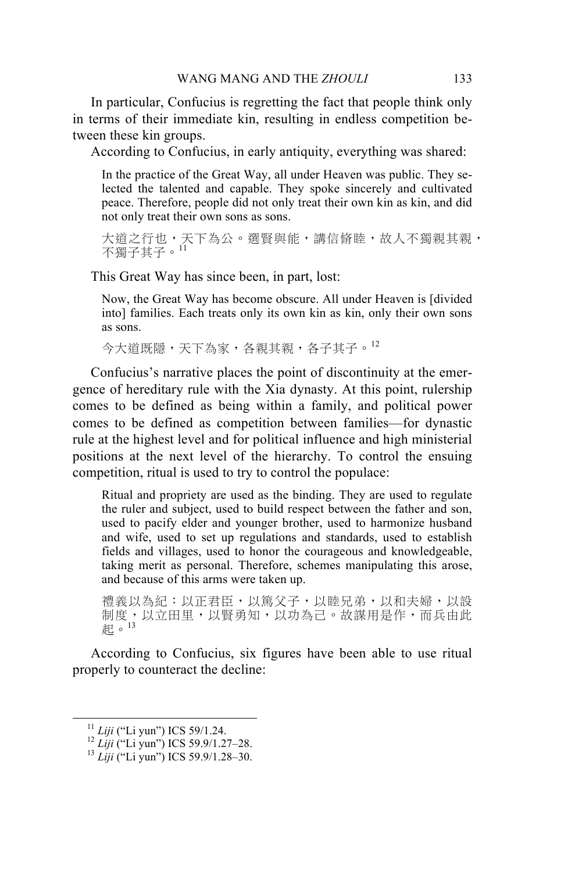In particular, Confucius is regretting the fact that people think only in terms of their immediate kin, resulting in endless competition between these kin groups.

According to Confucius, in early antiquity, everything was shared:

In the practice of the Great Way, all under Heaven was public. They selected the talented and capable. They spoke sincerely and cultivated peace. Therefore, people did not only treat their own kin as kin, and did not only treat their own sons as sons.

大道之行也,天下為公。選賢與能,講信脩睦,故人不獨親其親,<br>不獨子其子。11

This Great Way has since been, in part, lost:

Now, the Great Way has become obscure. All under Heaven is [divided] into] families. Each treats only its own kin as kin, only their own sons as sons.

今大道既隱,天下為家,各親其親,各子其子。12

Confucius's narrative places the point of discontinuity at the emergence of hereditary rule with the Xia dynasty. At this point, rulership comes to be defined as being within a family, and political power comes to be defined as competition between families—for dynastic rule at the highest level and for political influence and high ministerial positions at the next level of the hierarchy. To control the ensuing competition, ritual is used to try to control the populace:

Ritual and propriety are used as the binding. They are used to regulate the ruler and subject, used to build respect between the father and son, used to pacify elder and younger brother, used to harmonize husband and wife, used to set up regulations and standards, used to establish fields and villages, used to honor the courageous and knowledgeable, taking merit as personal. Therefore, schemes manipulating this arose, and because of this arms were taken up.

禮義以為紀;以正君臣,以篤父子,以睦兄弟,以和夫婦,以設 制度,以立田里,以賢勇知,以功為己。故謀用是作,而兵由此 起。13

According to Confucius, six figures have been able to use ritual properly to counteract the decline:

 $11$  Liji ("Li yun") ICS 59/1.24.

 $^{12}$  Liji ("Li yun") ICS 59.9/1.27–28.

<sup>&</sup>lt;sup>13</sup> Liji ("Li yun") ICS 59.9/1.28-30.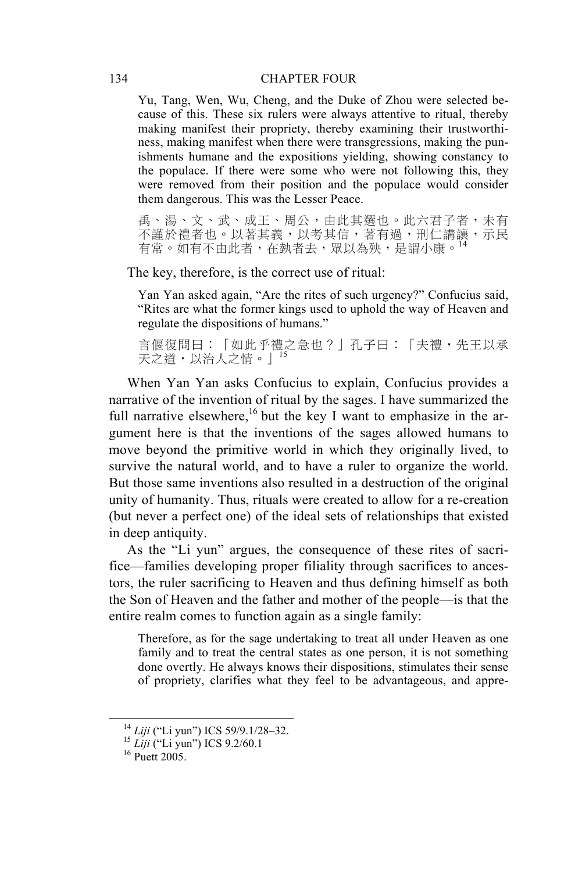Yu, Tang, Wen, Wu, Cheng, and the Duke of Zhou were selected because of this. These six rulers were always attentive to ritual, thereby making manifest their propriety, thereby examining their trustworthiness, making manifest when there were transgressions, making the punishments humane and the expositions vielding, showing constancy to the populace. If there were some who were not following this, they were removed from their position and the populace would consider them dangerous. This was the Lesser Peace.

禹、湯、文、武、成王、周公,由此其選也。此六君子者,未有 - ^ 『 説<br>不謹於禮者也。以著其義,以考其信,著有過,刑仁講讓,示民<br>有常。如有不由此者,在埶者去,眾以為殃,是謂小康。<sup>14</sup>

The key, therefore, is the correct use of ritual:

Yan Yan asked again, "Are the rites of such urgency?" Confucius said, "Rites are what the former kings used to uphold the way of Heaven and regulate the dispositions of humans."

言偃復問曰:「如此乎禮之急也?」孔子曰:「夫禮,先王以承<br>天之道,以治人之情。」<sup>15</sup>

When Yan Yan asks Confucius to explain, Confucius provides a narrative of the invention of ritual by the sages. I have summarized the full narrative elsewhere.<sup>16</sup> but the key I want to emphasize in the argument here is that the inventions of the sages allowed humans to move beyond the primitive world in which they originally lived, to survive the natural world, and to have a ruler to organize the world. But those same inventions also resulted in a destruction of the original unity of humanity. Thus, rituals were created to allow for a re-creation (but never a perfect one) of the ideal sets of relationships that existed in deep antiquity.

As the "Li yun" argues, the consequence of these rites of sacrifice—families developing proper filiality through sacrifices to ancestors, the ruler sacrificing to Heaven and thus defining himself as both the Son of Heaven and the father and mother of the people—is that the entire realm comes to function again as a single family:

Therefore, as for the sage undertaking to treat all under Heaven as one family and to treat the central states as one person, it is not something done overtly. He always knows their dispositions, stimulates their sense of propriety, clarifies what they feel to be advantageous, and appre-

<sup>&</sup>lt;sup>14</sup> Liji ("Li yun") ICS 59/9.1/28–32.<br><sup>15</sup> Liji ("Li yun") ICS 9.2/60.1

<sup>&</sup>lt;sup>16</sup> Puett 2005.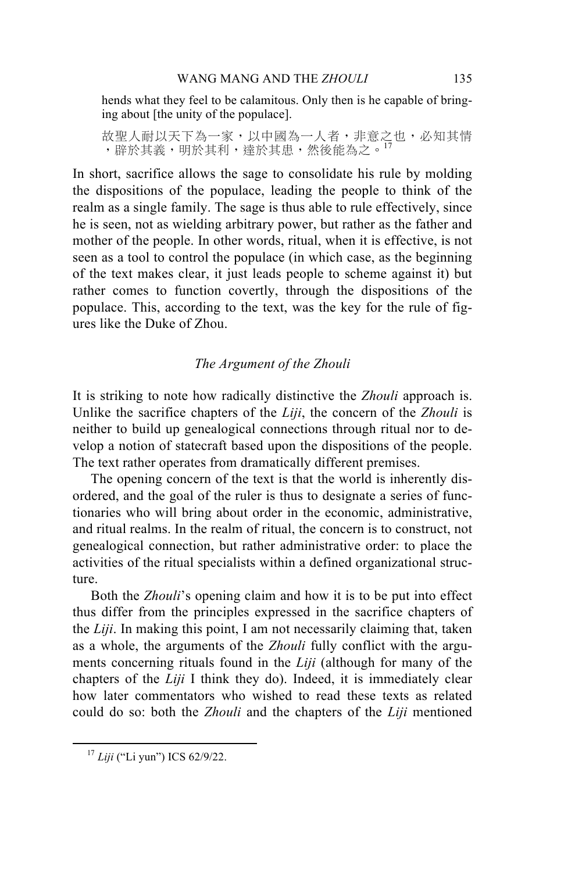hends what they feel to be calamitous. Only then is he capable of bringing about [the unity of the populace].

故聖人耐以天下為一家,以中國為一人者,非意之也,必知其情 ,辟於其義,明於其利,達於其患,然後能為之。<sup>17</sup>

In short, sacrifice allows the sage to consolidate his rule by molding the dispositions of the populace, leading the people to think of the realm as a single family. The sage is thus able to rule effectively, since he is seen, not as wielding arbitrary power, but rather as the father and mother of the people. In other words, ritual, when it is effective, is not seen as a tool to control the populace (in which case, as the beginning of the text makes clear, it just leads people to scheme against it) but rather comes to function covertly, through the dispositions of the populace. This, according to the text, was the key for the rule of figures like the Duke of Zhou.

### *The Argument of the Zhouli*

It is striking to note how radically distinctive the *Zhouli* approach is. Unlike the sacrifice chapters of the *Liji*, the concern of the *Zhouli* is neither to build up genealogical connections through ritual nor to develop a notion of statecraft based upon the dispositions of the people. The text rather operates from dramatically different premises.

The opening concern of the text is that the world is inherently disordered, and the goal of the ruler is thus to designate a series of functionaries who will bring about order in the economic, administrative, and ritual realms. In the realm of ritual, the concern is to construct, not genealogical connection, but rather administrative order: to place the activities of the ritual specialists within a defined organizational structure.

Both the *Zhouli*'s opening claim and how it is to be put into effect thus differ from the principles expressed in the sacrifice chapters of the *Liji*. In making this point, I am not necessarily claiming that, taken as a whole, the arguments of the *Zhouli* fully conflict with the arguments concerning rituals found in the *Liji* (although for many of the chapters of the *Liji* I think they do). Indeed, it is immediately clear how later commentators who wished to read these texts as related could do so: both the *Zhouli* and the chapters of the *Liji* mentioned

 <sup>17</sup> *Liji* ("Li yun") ICS 62/9/22.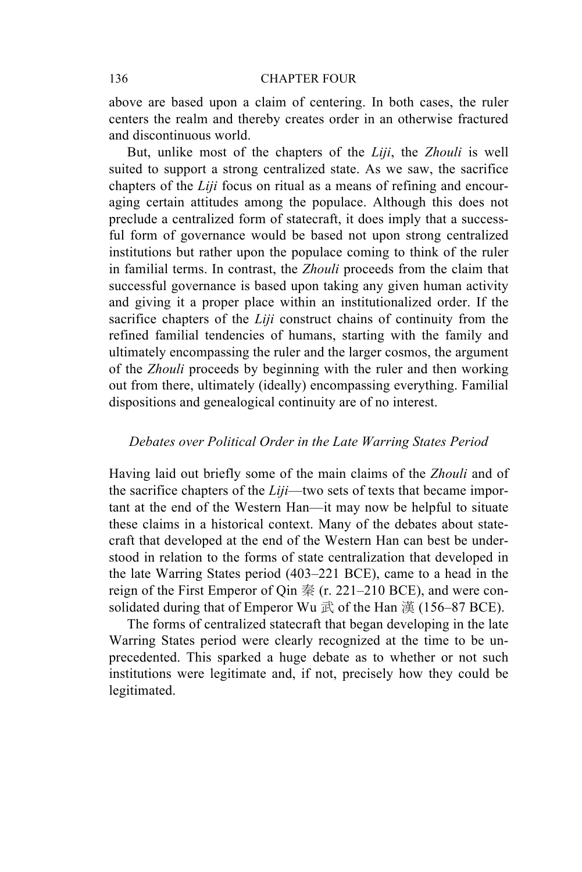above are based upon a claim of centering. In both cases, the ruler centers the realm and thereby creates order in an otherwise fractured and discontinuous world.

But, unlike most of the chapters of the *Liji*, the *Zhouli* is well suited to support a strong centralized state. As we saw, the sacrifice chapters of the *Liji* focus on ritual as a means of refining and encouraging certain attitudes among the populace. Although this does not preclude a centralized form of statecraft, it does imply that a successful form of governance would be based not upon strong centralized institutions but rather upon the populace coming to think of the ruler in familial terms. In contrast, the *Zhouli* proceeds from the claim that successful governance is based upon taking any given human activity and giving it a proper place within an institutionalized order. If the sacrifice chapters of the *Liji* construct chains of continuity from the refined familial tendencies of humans, starting with the family and ultimately encompassing the ruler and the larger cosmos, the argument of the *Zhouli* proceeds by beginning with the ruler and then working out from there, ultimately (ideally) encompassing everything. Familial dispositions and genealogical continuity are of no interest.

# *Debates over Political Order in the Late Warring States Period*

Having laid out briefly some of the main claims of the *Zhouli* and of the sacrifice chapters of the *Liji*—two sets of texts that became important at the end of the Western Han—it may now be helpful to situate these claims in a historical context. Many of the debates about statecraft that developed at the end of the Western Han can best be understood in relation to the forms of state centralization that developed in the late Warring States period (403–221 BCE), came to a head in the reign of the First Emperor of Qin  $\frac{221-210 \text{ BCE}}{20}$ , and were consolidated during that of Emperor Wu  $\vec{\mathbb{E}}$  of the Han  $\ddot{\mathbb{E}}$  (156–87 BCE).

The forms of centralized statecraft that began developing in the late Warring States period were clearly recognized at the time to be unprecedented. This sparked a huge debate as to whether or not such institutions were legitimate and, if not, precisely how they could be legitimated.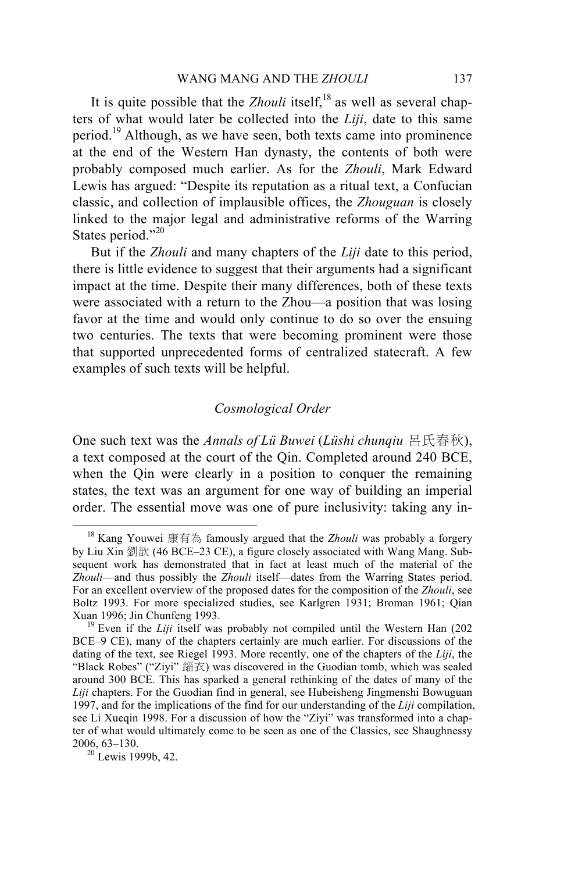It is quite possible that the *Zhouli* itself.<sup>18</sup> as well as several chapters of what would later be collected into the *Liji*, date to this same period.19 Although, as we have seen, both texts came into prominence at the end of the Western Han dynasty, the contents of both were probably composed much earlier. As for the *Zhouli*, Mark Edward Lewis has argued: "Despite its reputation as a ritual text, a Confucian classic, and collection of implausible offices, the *Zhouguan* is closely linked to the major legal and administrative reforms of the Warring States period."20

But if the *Zhouli* and many chapters of the *Liji* date to this period, there is little evidence to suggest that their arguments had a significant impact at the time. Despite their many differences, both of these texts were associated with a return to the Zhou—a position that was losing favor at the time and would only continue to do so over the ensuing two centuries. The texts that were becoming prominent were those that supported unprecedented forms of centralized statecraft. A few examples of such texts will be helpful.

# *Cosmological Order*

One such text was the *Annals of Lü Buwei (Lüshi chunqiu* 呂氏春秋), a text composed at the court of the Qin. Completed around 240 BCE, when the Qin were clearly in a position to conquer the remaining states, the text was an argument for one way of building an imperial order. The essential move was one of pure inclusivity: taking any in-

<sup>&</sup>lt;sup>18</sup> Kang Youwei 康有為 famously argued that the *Zhouli* was probably a forgery by Liu Xin  $\frac{20}{3}$   $\frac{20}{3}$  (46 BCE–23 CE), a figure closely associated with Wang Mang. Subsequent work has demonstrated that in fact at least much of the material of the *Zhouli*—and thus possibly the *Zhouli* itself—dates from the Warring States period. For an excellent overview of the proposed dates for the composition of the *Zhouli*, see Boltz 1993. For more specialized studies, see Karlgren 1931; Broman 1961; Qian

<sup>&</sup>lt;sup>19</sup> Even if the *Liji* itself was probably not compiled until the Western Han  $(202)$ BCE–9 CE), many of the chapters certainly are much earlier. For discussions of the dating of the text, see Riegel 1993. More recently, one of the chapters of the *Liji*, the "Black Robes" ("Ziyi" 緇衣) was discovered in the Guodian tomb, which was sealed around 300 BCE. This has sparked a general rethinking of the dates of many of the *Liji* chapters. For the Guodian find in general, see Hubeisheng Jingmenshi Bowuguan 1997, and for the implications of the find for our understanding of the *Liji* compilation, see Li Xueqin 1998. For a discussion of how the "Zivi" was transformed into a chapter of what would ultimately come to be seen as one of the Classics, see Shaughnessy 2006, 63–130.

 $20$  Lewis 1999b, 42.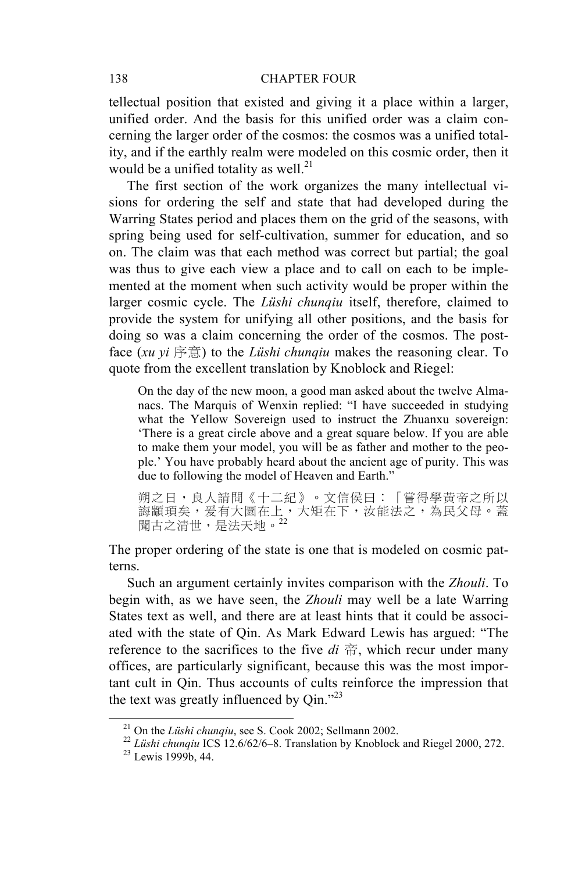tellectual position that existed and giving it a place within a larger, unified order. And the basis for this unified order was a claim concerning the larger order of the cosmos: the cosmos was a unified totality, and if the earthly realm were modeled on this cosmic order, then it would be a unified totality as well. $^{21}$ 

The first section of the work organizes the many intellectual visions for ordering the self and state that had developed during the Warring States period and places them on the grid of the seasons, with spring being used for self-cultivation, summer for education, and so on. The claim was that each method was correct but partial; the goal was thus to give each view a place and to call on each to be implemented at the moment when such activity would be proper within the larger cosmic cycle. The *Lüshi chunqiu* itself, therefore, claimed to provide the system for unifying all other positions, and the basis for doing so was a claim concerning the order of the cosmos. The postface  $(xu \, vi \, \nightharpoonup \vec{B})$  to the *Lüshi chunqiu* makes the reasoning clear. To quote from the excellent translation by Knoblock and Riegel:

On the day of the new moon, a good man asked about the twelve Almanacs. The Marquis of Wenxin replied: "I have succeeded in studying what the Yellow Sovereign used to instruct the Zhuanxu sovereign: 'There is a great circle above and a great square below. If you are able to make them your model, you will be as father and mother to the people.' You have probably heard about the ancient age of purity. This was due to following the model of Heaven and Earth."

朔之日,良人請問《十二紀》。文信侯曰:「嘗得學黃帝之所以 誨顓頊矣,爰有大圜在上,大矩在下,汝能法之,為民父母。蓋 聞古之清世,是法天地。<sup>22</sup>

The proper ordering of the state is one that is modeled on cosmic patterns.

Such an argument certainly invites comparison with the *Zhouli*. To begin with, as we have seen, the *Zhouli* may well be a late Warring States text as well, and there are at least hints that it could be associated with the state of Qin. As Mark Edward Lewis has argued: "The reference to the sacrifices to the five  $di \oplus \overrightarrow{m}$ , which recur under many offices, are particularly significant, because this was the most important cult in Qin. Thus accounts of cults reinforce the impression that the text was greatly influenced by  $\text{Oin.}^{23}$ 

<sup>&</sup>lt;sup>21</sup> On the *Lüshi chunqiu*, see S. Cook 2002; Sellmann 2002.<br><sup>22</sup> *Lüshi chunqiu* ICS 12.6/62/6–8. Translation by Knoblock and Riegel 2000, 272.<br><sup>23</sup> Lewis 1999b. 44.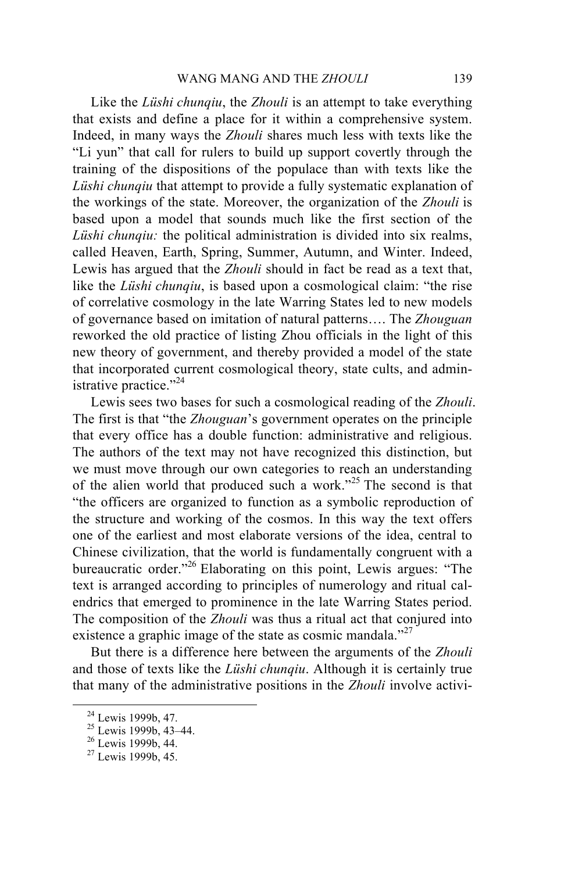Like the *Lüshi chunqiu*, the *Zhouli* is an attempt to take everything that exists and define a place for it within a comprehensive system. Indeed, in many ways the *Zhouli* shares much less with texts like the "Li yun" that call for rulers to build up support covertly through the training of the dispositions of the populace than with texts like the *Lüshi chunqiu* that attempt to provide a fully systematic explanation of the workings of the state. Moreover, the organization of the *Zhouli* is based upon a model that sounds much like the first section of the *Lüshi chunqiu:* the political administration is divided into six realms, called Heaven, Earth, Spring, Summer, Autumn, and Winter. Indeed, Lewis has argued that the *Zhouli* should in fact be read as a text that, like the *Lüshi chunqiu*, is based upon a cosmological claim: "the rise of correlative cosmology in the late Warring States led to new models of governance based on imitation of natural patterns…. The *Zhouguan* reworked the old practice of listing Zhou officials in the light of this new theory of government, and thereby provided a model of the state that incorporated current cosmological theory, state cults, and administrative practice." $^{24}$ 

Lewis sees two bases for such a cosmological reading of the *Zhouli*. The first is that "the *Zhouguan*'s government operates on the principle that every office has a double function: administrative and religious. The authors of the text may not have recognized this distinction, but we must move through our own categories to reach an understanding of the alien world that produced such a work."25 The second is that "the officers are organized to function as a symbolic reproduction of the structure and working of the cosmos. In this way the text offers one of the earliest and most elaborate versions of the idea, central to Chinese civilization, that the world is fundamentally congruent with a bureaucratic order."26 Elaborating on this point, Lewis argues: "The text is arranged according to principles of numerology and ritual calendrics that emerged to prominence in the late Warring States period. The composition of the *Zhouli* was thus a ritual act that conjured into existence a graphic image of the state as cosmic mandala. $127$ 

But there is a difference here between the arguments of the *Zhouli* and those of texts like the *Lüshi chunqiu*. Although it is certainly true that many of the administrative positions in the *Zhouli* involve activi-

<sup>&</sup>lt;sup>24</sup> Lewis 1999b, 47.<br><sup>25</sup> Lewis 1999b, 43–44.<br><sup>26</sup> Lewis 1999b, 44.<br><sup>27</sup> Lewis 1999b, 45.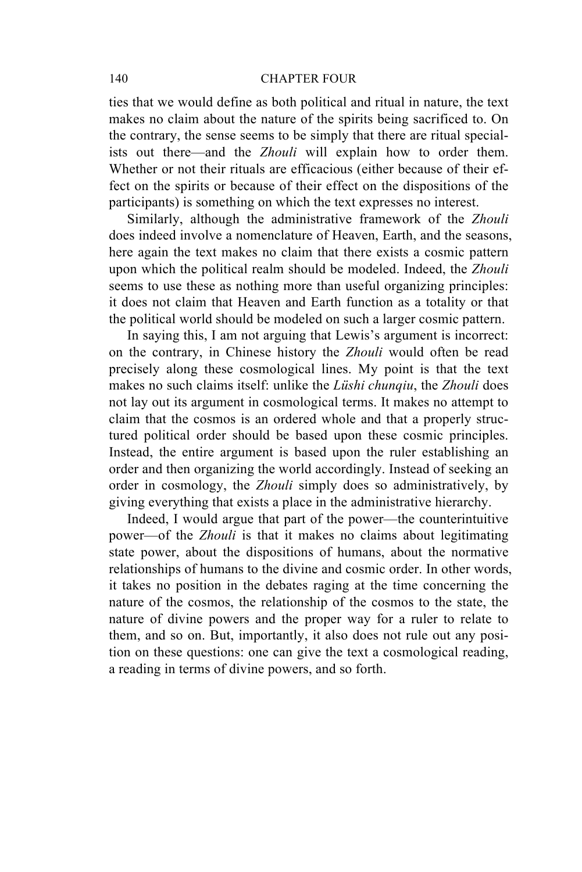ties that we would define as both political and ritual in nature, the text makes no claim about the nature of the spirits being sacrificed to. On the contrary, the sense seems to be simply that there are ritual specialists out there—and the *Zhouli* will explain how to order them. Whether or not their rituals are efficacious (either because of their effect on the spirits or because of their effect on the dispositions of the participants) is something on which the text expresses no interest.

Similarly, although the administrative framework of the *Zhouli* does indeed involve a nomenclature of Heaven, Earth, and the seasons, here again the text makes no claim that there exists a cosmic pattern upon which the political realm should be modeled. Indeed, the *Zhouli* seems to use these as nothing more than useful organizing principles: it does not claim that Heaven and Earth function as a totality or that the political world should be modeled on such a larger cosmic pattern.

In saying this, I am not arguing that Lewis's argument is incorrect: on the contrary, in Chinese history the *Zhouli* would often be read precisely along these cosmological lines. My point is that the text makes no such claims itself: unlike the *Lüshi chunqiu*, the *Zhouli* does not lay out its argument in cosmological terms. It makes no attempt to claim that the cosmos is an ordered whole and that a properly structured political order should be based upon these cosmic principles. Instead, the entire argument is based upon the ruler establishing an order and then organizing the world accordingly. Instead of seeking an order in cosmology, the *Zhouli* simply does so administratively, by giving everything that exists a place in the administrative hierarchy.

Indeed, I would argue that part of the power—the counterintuitive power—of the *Zhouli* is that it makes no claims about legitimating state power, about the dispositions of humans, about the normative relationships of humans to the divine and cosmic order. In other words, it takes no position in the debates raging at the time concerning the nature of the cosmos, the relationship of the cosmos to the state, the nature of divine powers and the proper way for a ruler to relate to them, and so on. But, importantly, it also does not rule out any position on these questions: one can give the text a cosmological reading, a reading in terms of divine powers, and so forth.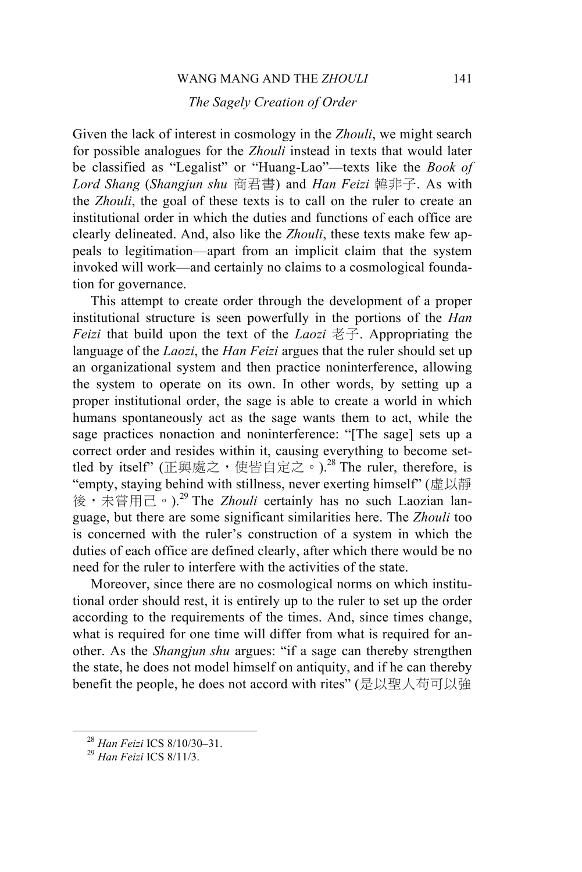#### WANG MANG AND THE *ZHOULI* 141

### *The Sagely Creation of Order*

Given the lack of interest in cosmology in the *Zhouli*, we might search for possible analogues for the *Zhouli* instead in texts that would later be classified as "Legalist" or "Huang-Lao"—texts like the *Book of*  Lord Shang (Shangjun shu 商君書) and *Han Feizi* 韓非子. As with the *Zhouli*, the goal of these texts is to call on the ruler to create an institutional order in which the duties and functions of each office are clearly delineated. And, also like the *Zhouli*, these texts make few appeals to legitimation—apart from an implicit claim that the system invoked will work—and certainly no claims to a cosmological foundation for governance.

This attempt to create order through the development of a proper institutional structure is seen powerfully in the portions of the *Han Feizi* that build upon the text of the *Laozi*  $\sharp \sharp \uparrow$ . Appropriating the language of the *Laozi*, the *Han Feizi* argues that the ruler should set up an organizational system and then practice noninterference, allowing the system to operate on its own. In other words, by setting up a proper institutional order, the sage is able to create a world in which humans spontaneously act as the sage wants them to act, while the sage practices nonaction and noninterference: "[The sage] sets up a correct order and resides within it, causing everything to become settled by itself" (正與處之, 使皆自定之。).<sup>28</sup> The ruler, therefore, is "empty, staying behind with stillness, never exerting himself" ( $\# \cup \#$ ) 後,未嘗用己。).<sup>29</sup> The *Zhouli* certainly has no such Laozian language, but there are some significant similarities here. The *Zhouli* too is concerned with the ruler's construction of a system in which the duties of each office are defined clearly, after which there would be no need for the ruler to interfere with the activities of the state.

Moreover, since there are no cosmological norms on which institutional order should rest, it is entirely up to the ruler to set up the order according to the requirements of the times. And, since times change, what is required for one time will differ from what is required for another. As the *Shangjun shu* argues: "if a sage can thereby strengthen the state, he does not model himself on antiquity, and if he can thereby benefit the people, he does not accord with rites" (是以聖人荀可以強

<sup>28</sup> *Han Feizi* ICS 8/10/30–31. <sup>29</sup> *Han Feizi* ICS 8/11/3.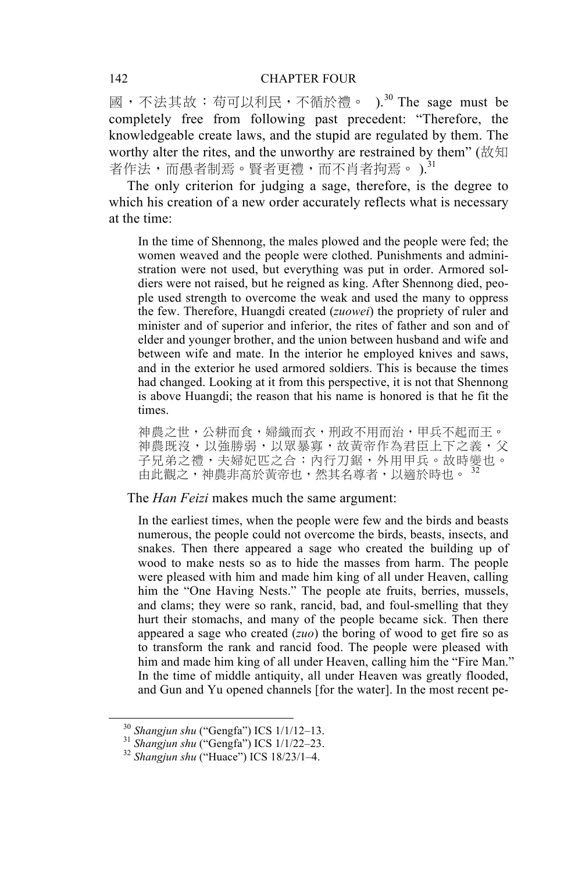國,不法其故;苟可以利民,不循於禮。).<sup>30</sup> The sage must be completely free from following past precedent: "Therefore, the knowledgeable create laws, and the stupid are regulated by them. The worthy alter the rites, and the unworthy are restrained by them" (故知 者作法,而愚者制焉。賢者更禮,而不肖者拘焉。)<sup>31</sup>

The only criterion for judging a sage, therefore, is the degree to which his creation of a new order accurately reflects what is necessary at the time:

In the time of Shennong, the males plowed and the people were fed; the women weaved and the people were clothed. Punishments and administration were not used, but everything was put in order. Armored soldiers were not raised, but he reigned as king. After Shennong died, people used strength to overcome the weak and used the many to oppress the few. Therefore, Huangdi created (*zuowei*) the propriety of ruler and minister and of superior and inferior, the rites of father and son and of elder and younger brother, and the union between husband and wife and between wife and mate. In the interior he employed knives and saws, and in the exterior he used armored soldiers. This is because the times had changed. Looking at it from this perspective, it is not that Shennong is above Huangdi; the reason that his name is honored is that he fit the times.

神農之世,公耕而食,婦織而衣,刑政不用而治,甲兵不起而王。 神農既沒,以強勝弱,以眾暴寡,故黃帝作為君臣上下之義,父 子兄弟之禮,夫婦妃匹之合;內行刀鋸,外用甲兵。故時變也。 由此觀之,神農非高於黃帝也,然其名尊者,以適於時也。

#### The *Han Feizi* makes much the same argument:

In the earliest times, when the people were few and the birds and beasts numerous, the people could not overcome the birds, beasts, insects, and snakes. Then there appeared a sage who created the building up of wood to make nests so as to hide the masses from harm. The people were pleased with him and made him king of all under Heaven, calling him the "One Having Nests." The people ate fruits, berries, mussels, and clams; they were so rank, rancid, bad, and foul-smelling that they hurt their stomachs, and many of the people became sick. Then there appeared a sage who created  $(zu_0)$  the boring of wood to get fire so as to transform the rank and rancid food. The people were pleased with him and made him king of all under Heaven, calling him the "Fire Man." In the time of middle antiquity, all under Heaven was greatly flooded, and Gun and Yu opened channels [for the water]. In the most recent pe-

 $30$  Shangjun shu ("Gengfa") ICS  $1/1/12-13$ .

 $31$  Shangjun shu ("Gengfa") ICS 1/1/22-23.

<sup>&</sup>lt;sup>32</sup> Shangjun shu ("Huace") ICS 18/23/1-4.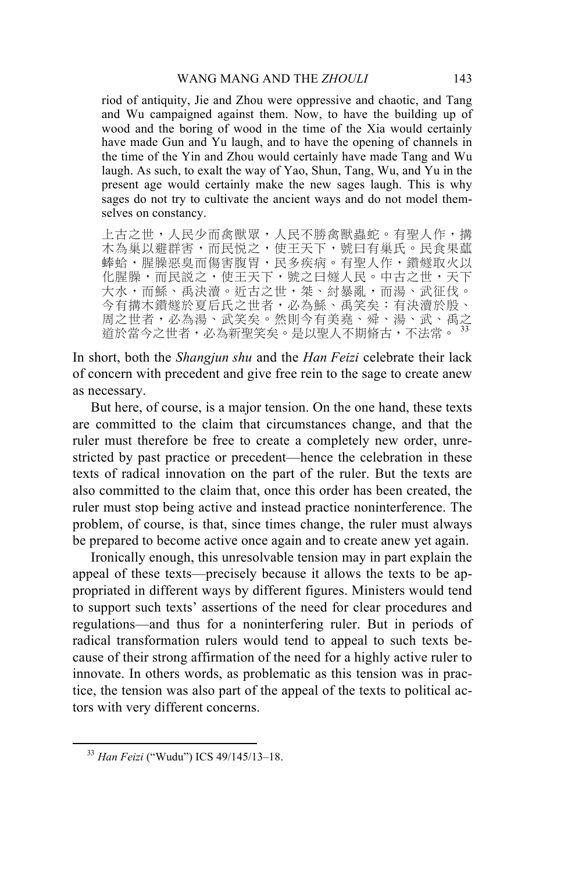riod of antiquity, Jie and Zhou were oppressive and chaotic, and Tang and Wu campaigned against them. Now, to have the building up of wood and the boring of wood in the time of the Xia would certainly have made Gun and Yu laugh, and to have the opening of channels in the time of the Yin and Zhou would certainly have made Tang and Wu laugh. As such, to exalt the way of Yao, Shun, Tang, Wu, and Yu in the present age would certainly make the new sages laugh. This is why sages do not try to cultivate the ancient ways and do not model themselves on constancy.

上古之世,人民少而禽獸眾,人民不勝禽獸蟲蛇。有聖人作,搆 ——<br>木為巢以避群害,而民悦之,使王天下,號曰有巢氏。民食果蓏 蜯蛤,腥臊惡臭而傷害腹胃,民多疾病。有聖人作,鑽燧取火以 化腥臊,而民説之,使王天下,號之曰燧人民。中古之世,天下 大水,而鯀、禹決瀆。近古之世,桀、紂暴亂,而湯、武征伐。 今有構木鑽燧於夏后氏之世者,必為鯀、禹笑矣;有決瀆於殷、 !c¯§1 =üû°qÌ@–smtuûvûüû°ûùc 道於當今之世者,必為新聖笑矣。是以聖人不期脩古,不法常。

In short, both the *Shangjun shu* and the *Han Feizi* celebrate their lack of concern with precedent and give free rein to the sage to create anew as necessary.

But here, of course, is a major tension. On the one hand, these texts are committed to the claim that circumstances change, and that the ruler must therefore be free to create a completely new order, unrestricted by past practice or precedent—hence the celebration in these texts of radical innovation on the part of the ruler. But the texts are also committed to the claim that, once this order has been created, the ruler must stop being active and instead practice noninterference. The problem, of course, is that, since times change, the ruler must always be prepared to become active once again and to create anew yet again.

Ironically enough, this unresolvable tension may in part explain the appeal of these texts—precisely because it allows the texts to be appropriated in different ways by different figures. Ministers would tend to support such texts' assertions of the need for clear procedures and regulations—and thus for a noninterfering ruler. But in periods of radical transformation rulers would tend to appeal to such texts because of their strong affirmation of the need for a highly active ruler to innovate. In others words, as problematic as this tension was in practice, the tension was also part of the appeal of the texts to political actors with very different concerns.

 <sup>33</sup> *Han Feizi* ("Wudu") ICS 49/145/13–18.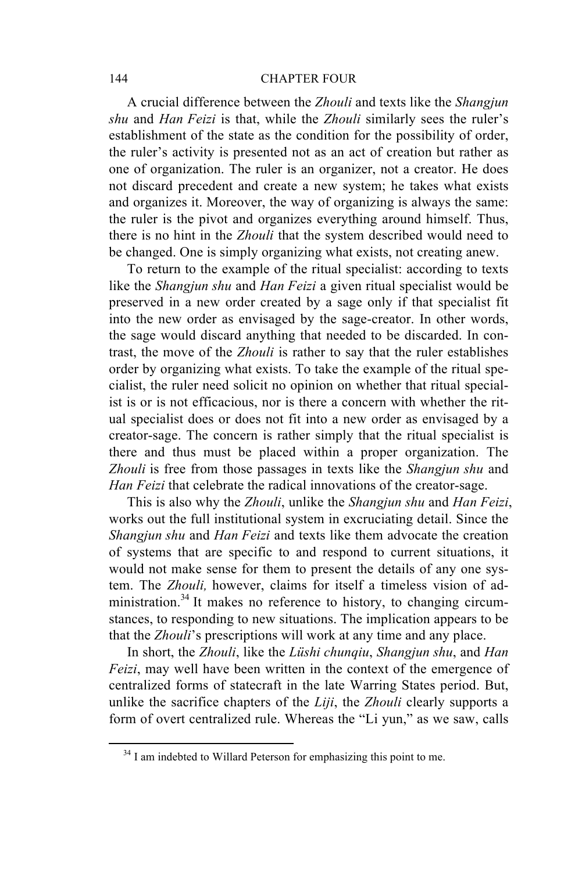A crucial difference between the *Zhouli* and texts like the *Shangjun shu* and *Han Feizi* is that, while the *Zhouli* similarly sees the ruler's establishment of the state as the condition for the possibility of order, the ruler's activity is presented not as an act of creation but rather as one of organization. The ruler is an organizer, not a creator. He does not discard precedent and create a new system; he takes what exists and organizes it. Moreover, the way of organizing is always the same: the ruler is the pivot and organizes everything around himself. Thus, there is no hint in the *Zhouli* that the system described would need to be changed. One is simply organizing what exists, not creating anew.

To return to the example of the ritual specialist: according to texts like the *Shangjun shu* and *Han Feizi* a given ritual specialist would be preserved in a new order created by a sage only if that specialist fit into the new order as envisaged by the sage-creator. In other words, the sage would discard anything that needed to be discarded. In contrast, the move of the *Zhouli* is rather to say that the ruler establishes order by organizing what exists. To take the example of the ritual specialist, the ruler need solicit no opinion on whether that ritual specialist is or is not efficacious, nor is there a concern with whether the ritual specialist does or does not fit into a new order as envisaged by a creator-sage. The concern is rather simply that the ritual specialist is there and thus must be placed within a proper organization. The *Zhouli* is free from those passages in texts like the *Shangjun shu* and *Han Feizi* that celebrate the radical innovations of the creator-sage.

This is also why the *Zhouli*, unlike the *Shangjun shu* and *Han Feizi*, works out the full institutional system in excruciating detail. Since the *Shangjun shu* and *Han Feizi* and texts like them advocate the creation of systems that are specific to and respond to current situations, it would not make sense for them to present the details of any one system. The *Zhouli,* however, claims for itself a timeless vision of administration.<sup>34</sup> It makes no reference to history, to changing circumstances, to responding to new situations. The implication appears to be that the *Zhouli*'s prescriptions will work at any time and any place.

In short, the *Zhouli*, like the *Lüshi chunqiu*, *Shangjun shu*, and *Han Feizi*, may well have been written in the context of the emergence of centralized forms of statecraft in the late Warring States period. But, unlike the sacrifice chapters of the *Liji*, the *Zhouli* clearly supports a form of overt centralized rule. Whereas the "Li yun," as we saw, calls

<sup>&</sup>lt;sup>34</sup> I am indebted to Willard Peterson for emphasizing this point to me.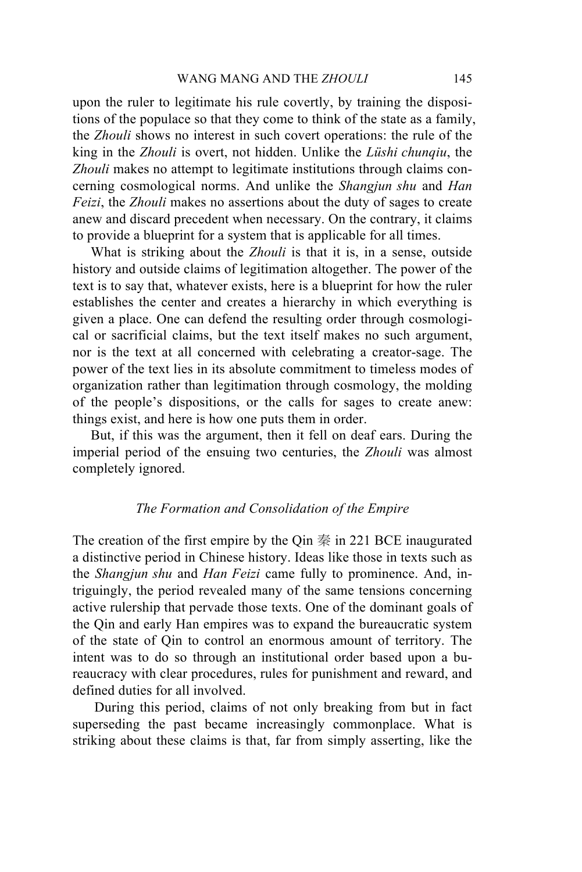upon the ruler to legitimate his rule covertly, by training the dispositions of the populace so that they come to think of the state as a family, the *Zhouli* shows no interest in such covert operations: the rule of the king in the *Zhouli* is overt, not hidden. Unlike the *Lüshi chunqiu*, the *Zhouli* makes no attempt to legitimate institutions through claims concerning cosmological norms. And unlike the *Shangjun shu* and *Han Feizi*, the *Zhouli* makes no assertions about the duty of sages to create anew and discard precedent when necessary. On the contrary, it claims to provide a blueprint for a system that is applicable for all times.

What is striking about the *Zhouli* is that it is, in a sense, outside history and outside claims of legitimation altogether. The power of the text is to say that, whatever exists, here is a blueprint for how the ruler establishes the center and creates a hierarchy in which everything is given a place. One can defend the resulting order through cosmological or sacrificial claims, but the text itself makes no such argument, nor is the text at all concerned with celebrating a creator-sage. The power of the text lies in its absolute commitment to timeless modes of organization rather than legitimation through cosmology, the molding of the people's dispositions, or the calls for sages to create anew: things exist, and here is how one puts them in order.

But, if this was the argument, then it fell on deaf ears. During the imperial period of the ensuing two centuries, the *Zhouli* was almost completely ignored.

### *The Formation and Consolidation of the Empire*

The creation of the first empire by the Qin  $\frac{221}{100}$  BCE inaugurated a distinctive period in Chinese history. Ideas like those in texts such as the *Shangjun shu* and *Han Feizi* came fully to prominence. And, intriguingly, the period revealed many of the same tensions concerning active rulership that pervade those texts. One of the dominant goals of the Qin and early Han empires was to expand the bureaucratic system of the state of Qin to control an enormous amount of territory. The intent was to do so through an institutional order based upon a bureaucracy with clear procedures, rules for punishment and reward, and defined duties for all involved.

 During this period, claims of not only breaking from but in fact superseding the past became increasingly commonplace. What is striking about these claims is that, far from simply asserting, like the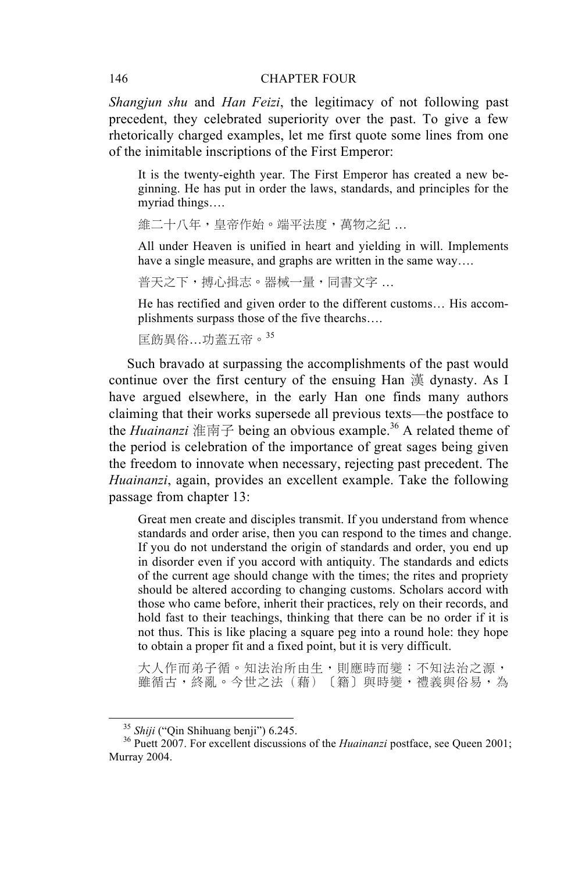Shangjun shu and Han Feizi, the legitimacy of not following past precedent, they celebrated superiority over the past. To give a few rhetorically charged examples, let me first quote some lines from one of the inimitable inscriptions of the First Emperor:

It is the twenty-eighth year. The First Emperor has created a new beginning. He has put in order the laws, standards, and principles for the myriad things....

維二十八年,皇帝作始。端平法度,萬物之紀...

All under Heaven is unified in heart and yielding in will. Implements have a single measure, and graphs are written in the same way...

```
普天之下,搏心揖志。器械一量,同書文字...
```
He has rectified and given order to the different customs... His accomplishments surpass those of the five thearchs....

```
匡飭畢俗…功蓋五帝。35
```
Such bravado at surpassing the accomplishments of the past would continue over the first century of the ensuing Han 漢 dynasty. As I have argued elsewhere, in the early Han one finds many authors claiming that their works supersede all previous texts—the postface to the *Huainanzi* 淮南子 being an obvious example.<sup>36</sup> A related theme of the period is celebration of the importance of great sages being given the freedom to innovate when necessary, rejecting past precedent. The *Huainanzi*, again, provides an excellent example. Take the following passage from chapter 13:

Great men create and disciples transmit. If you understand from whence standards and order arise, then you can respond to the times and change. If you do not understand the origin of standards and order, you end up in disorder even if you accord with antiquity. The standards and edicts of the current age should change with the times; the rites and propriety should be altered according to changing customs. Scholars accord with those who came before, inherit their practices, rely on their records, and hold fast to their teachings, thinking that there can be no order if it is not thus. This is like placing a square peg into a round hole: they hope to obtain a proper fit and a fixed point, but it is very difficult.

大人作而弟子循。知法治所由生,則應時而變;不知法治之源, 雖循古,終亂。今世之法(藉)〔籍〕與時變,禮義與俗易,為

146

 $35$  *Shiji* ("Qin Shihuang benji") 6.245.

<sup>&</sup>lt;sup>36</sup> Puett 2007. For excellent discussions of the *Huainanzi* postface, see Queen 2001; Murray 2004.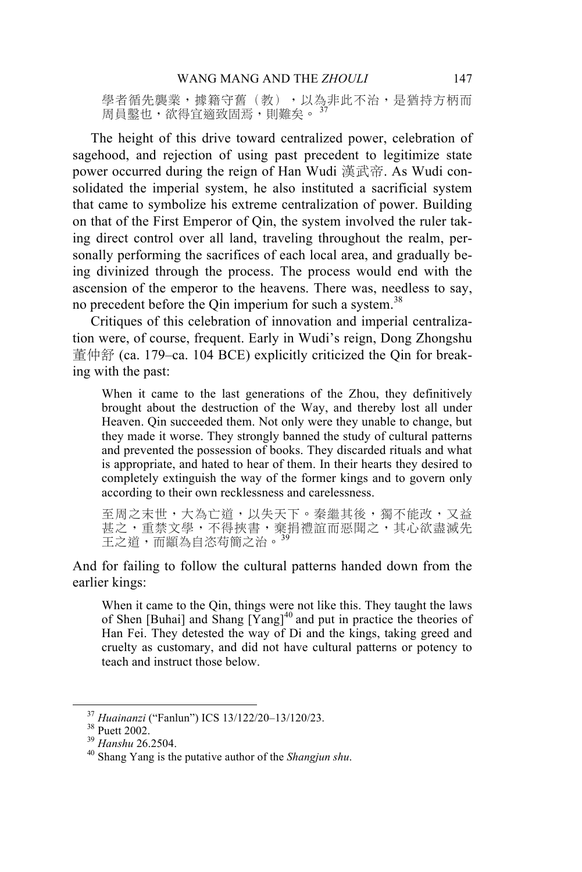學者循先襲業,據籍守舊(教),以為非此不治,是猶持方柄而 周員鑿也,欲得官滴致固焉,則難矣。

The height of this drive toward centralized power, celebration of sagehood, and rejection of using past precedent to legitimize state power occurred during the reign of Han Wudi 漢武帝. As Wudi consolidated the imperial system, he also instituted a sacrificial system that came to symbolize his extreme centralization of power. Building on that of the First Emperor of Oin, the system involved the ruler taking direct control over all land, traveling throughout the realm, personally performing the sacrifices of each local area, and gradually being divinized through the process. The process would end with the ascension of the emperor to the heavens. There was, needless to say, no precedent before the Qin imperium for such a system.<sup>38</sup>

Critiques of this celebration of innovation and imperial centralization were, of course, frequent. Early in Wudi's reign, Dong Zhongshu 董仲舒 (ca. 179–ca. 104 BCE) explicitly criticized the Qin for breaking with the past:

When it came to the last generations of the Zhou, they definitively brought about the destruction of the Way, and thereby lost all under Heaven. Qin succeeded them. Not only were they unable to change, but they made it worse. They strongly banned the study of cultural patterns and prevented the possession of books. They discarded rituals and what is appropriate, and hated to hear of them. In their hearts they desired to completely extinguish the way of the former kings and to govern only according to their own recklessness and carelessness.

至周之末世,大為亡道,以失天下。秦繼其後,獨不能改,又益 三、<br>甚之,重禁文學,不得挾書,棄捐禮誼而惡聞之,其心欲盡滅先<br>王之道,而顓為自恣苟簡之治。<sup>39</sup>

And for failing to follow the cultural patterns handed down from the earlier kings:

When it came to the Qin, things were not like this. They taught the laws of Shen [Buhai] and Shang [Yang]<sup>40</sup> and put in practice the theories of Han Fei. They detested the way of Di and the kings, taking greed and cruelty as customary, and did not have cultural patterns or potency to teach and instruct those below.

 $^{37}$  Huainanzi ("Fanlun") ICS 13/122/20-13/120/23.

<sup>&</sup>lt;sup>38</sup> Puett 2002.

<sup>&</sup>lt;sup>39</sup> Hanshu 26.2504.

<sup>&</sup>lt;sup>40</sup> Shang Yang is the putative author of the Shangjun shu.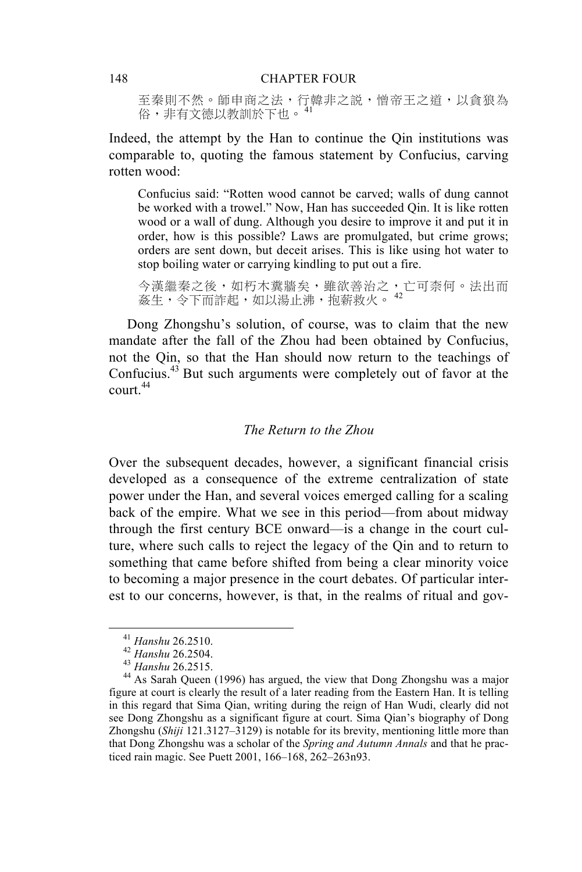至秦則不然。師申商之法,行韓非之説,憎帝王之道,以貪狼為<br>俗,非有文德以教訓於下也。<sup>41</sup>

Indeed, the attempt by the Han to continue the Q in institutions was comparable to, quoting the famous statement by Confucius, carving rotten wood:

Confucius said: "Rotten wood cannot be carved; walls of dung cannot be worked with a trowel." Now, Han has succeeded Qin. It is like rotten wood or a wall of dung. Although you desire to improve it and put it in order, how is this possible? Laws are promulgated, but crime grows; orders are sent down, but deceit arises. This is like using hot water to stop boiling water or carrying kindling to put out a fire.

今漢繼秦之後,如朽木糞牆矣,雖欲善治之,亡可柰何。法出而<br>姦生,令下而詐起,如以湯止沸,抱薪救火。 <sup>42</sup>

Dong Zhongshu's solution, of course, was to claim that the new mandate after the fall of the Zhou had been obtained by Confucius. not the Qin, so that the Han should now return to the teachings of Confucius.<sup>43</sup> But such arguments were completely out of favor at the  $count<sup>44</sup>$ 

# The Return to the Zhou

Over the subsequent decades, however, a significant financial crisis developed as a consequence of the extreme centralization of state power under the Han, and several voices emerged calling for a scaling back of the empire. What we see in this period—from about midway through the first century BCE onward—is a change in the court culture, where such calls to reject the legacy of the Q in and to return to something that came before shifted from being a clear minority voice to becoming a major presence in the court debates. Of particular interest to our concerns, however, is that, in the realms of ritual and gov-

148

 $41$  Hanshu 26.2510.

 $42$  Hanshu 26.2504.

<sup>&</sup>lt;sup>43</sup> Hanshu 26.2515.

<sup>&</sup>lt;sup>44</sup> As Sarah Queen (1996) has argued, the view that Dong Zhongshu was a major figure at court is clearly the result of a later reading from the Eastern Han. It is telling in this regard that Sima Qian, writing during the reign of Han Wudi, clearly did not see Dong Zhongshu as a significant figure at court. Sima Qian's biography of Dong Zhongshu (Shiji 121.3127–3129) is notable for its brevity, mentioning little more than that Dong Zhongshu was a scholar of the Spring and Autumn Annals and that he practiced rain magic. See Puett 2001, 166-168, 262-263n93.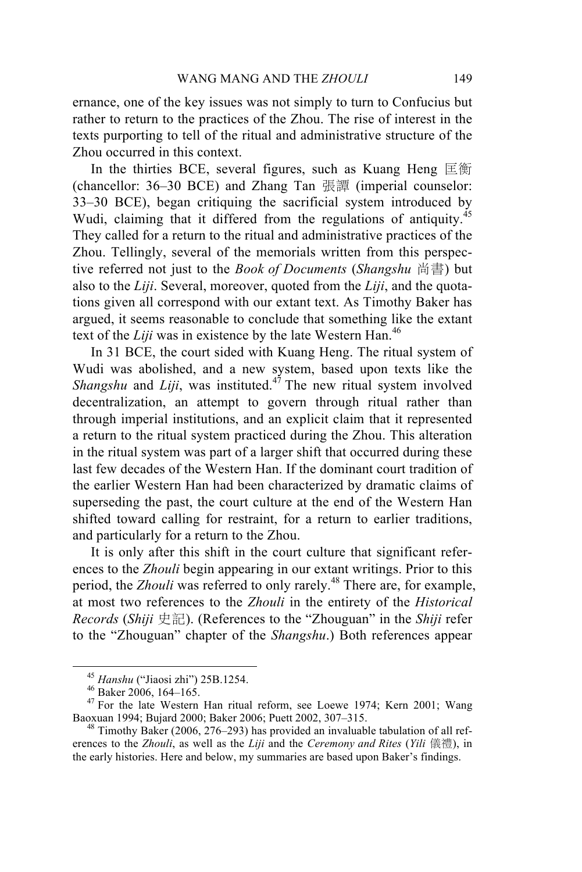ernance, one of the key issues was not simply to turn to Confucius but rather to return to the practices of the Zhou. The rise of interest in the texts purporting to tell of the ritual and administrative structure of the Zhou occurred in this context.

In the thirties BCE, several figures, such as Kuang Heng  $\equiv \frac{2}{\sqrt{3}}$ (chancellor:  $36-30$  BCE) and Zhang Tan  $\frac{1}{100}$  (imperial counselor: 33–30 BCE), began critiquing the sacrificial system introduced by Wudi, claiming that it differed from the regulations of antiquity.<sup>45</sup> They called for a return to the ritual and administrative practices of the Zhou. Tellingly, several of the memorials written from this perspective referred not just to the *Book of Documents* (*Shangshu* 尚書) but also to the *Liji*. Several, moreover, quoted from the *Liji*, and the quotations given all correspond with our extant text. As Timothy Baker has argued, it seems reasonable to conclude that something like the extant text of the *Liji* was in existence by the late Western Han.<sup>46</sup>

In 31 BCE, the court sided with Kuang Heng. The ritual system of Wudi was abolished, and a new system, based upon texts like the *Shangshu* and *Liji*, was instituted.<sup>47</sup> The new ritual system involved decentralization, an attempt to govern through ritual rather than through imperial institutions, and an explicit claim that it represented a return to the ritual system practiced during the Zhou. This alteration in the ritual system was part of a larger shift that occurred during these last few decades of the Western Han. If the dominant court tradition of the earlier Western Han had been characterized by dramatic claims of superseding the past, the court culture at the end of the Western Han shifted toward calling for restraint, for a return to earlier traditions, and particularly for a return to the Zhou.

It is only after this shift in the court culture that significant references to the *Zhouli* begin appearing in our extant writings. Prior to this period, the *Zhouli* was referred to only rarely. 48 There are, for example, at most two references to the *Zhouli* in the entirety of the *Historical Records* (*Shiji* 史記). (References to the "Zhouguan" in the *Shiji* refer to the "Zhouguan" chapter of the *Shangshu*.) Both references appear

<sup>&</sup>lt;sup>45</sup> *Hanshu* ("Jiaosi zhi") 25B.1254.<br><sup>46</sup> Baker 2006, 164–165.<br><sup>47</sup> For the late Western Han ritual reform, see Loewe 1974; Kern 2001; Wang Baoxuan 1994; Bujard 2000; Baker 2006; Puett 2002, 307–315. 48 Timothy Baker (2006, 276–293) has provided an invaluable tabulation of all ref-

erences to the *Zhouli*, as well as the *Liji* and the *Ceremony and Rites* (*Yili* 儀禮), in the early histories. Here and below, my summaries are based upon Baker's findings.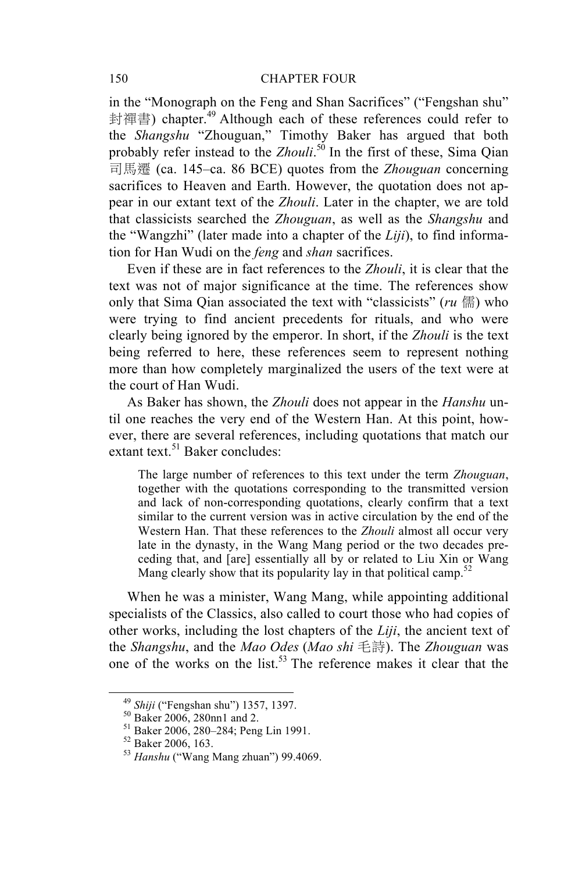in the "Monograph on the Feng and Shan Sacrifices" ("Fengshan shu" 封禪書) chapter.<sup>49</sup> Although each of these references could refer to the *Shangshu* "Zhouguan," Timothy Baker has argued that both probably refer instead to the *Zhouli*. 50 In the first of these, Sima Qian 司馬遷 (ca. 145–ca. 86 BCE) quotes from the *Zhouguan* concerning sacrifices to Heaven and Earth. However, the quotation does not appear in our extant text of the *Zhouli*. Later in the chapter, we are told that classicists searched the *Zhouguan*, as well as the *Shangshu* and the "Wangzhi" (later made into a chapter of the *Liji*), to find information for Han Wudi on the *feng* and *shan* sacrifices.

Even if these are in fact references to the *Zhouli*, it is clear that the text was not of major significance at the time. The references show only that Sima Qian associated the text with "classicists" (*ru* ‰) who were trying to find ancient precedents for rituals, and who were clearly being ignored by the emperor. In short, if the *Zhouli* is the text being referred to here, these references seem to represent nothing more than how completely marginalized the users of the text were at the court of Han Wudi.

As Baker has shown, the *Zhouli* does not appear in the *Hanshu* until one reaches the very end of the Western Han. At this point, however, there are several references, including quotations that match our extant text.<sup>51</sup> Baker concludes:

The large number of references to this text under the term *Zhouguan*, together with the quotations corresponding to the transmitted version and lack of non-corresponding quotations, clearly confirm that a text similar to the current version was in active circulation by the end of the Western Han. That these references to the *Zhouli* almost all occur very late in the dynasty, in the Wang Mang period or the two decades preceding that, and [are] essentially all by or related to Liu Xin or Wang Mang clearly show that its popularity lay in that political camp.<sup>52</sup>

When he was a minister, Wang Mang, while appointing additional specialists of the Classics, also called to court those who had copies of other works, including the lost chapters of the *Liji*, the ancient text of the *Shangshu*, and the *Mao Odes* (*Mao shi* ÂÊ). The *Zhouguan* was one of the works on the list.<sup>53</sup> The reference makes it clear that the

<sup>&</sup>lt;sup>49</sup> *Shiji* ("Fengshan shu") 1357, 1397.<br><sup>50</sup> Baker 2006, 280nn1 and 2.<br><sup>51</sup> Baker 2006, 280–284; Peng Lin 1991.<br><sup>52</sup> Baker 2006, 163.<br><sup>53</sup> *Hanshu* ("Wang Mang zhuan") 99.4069.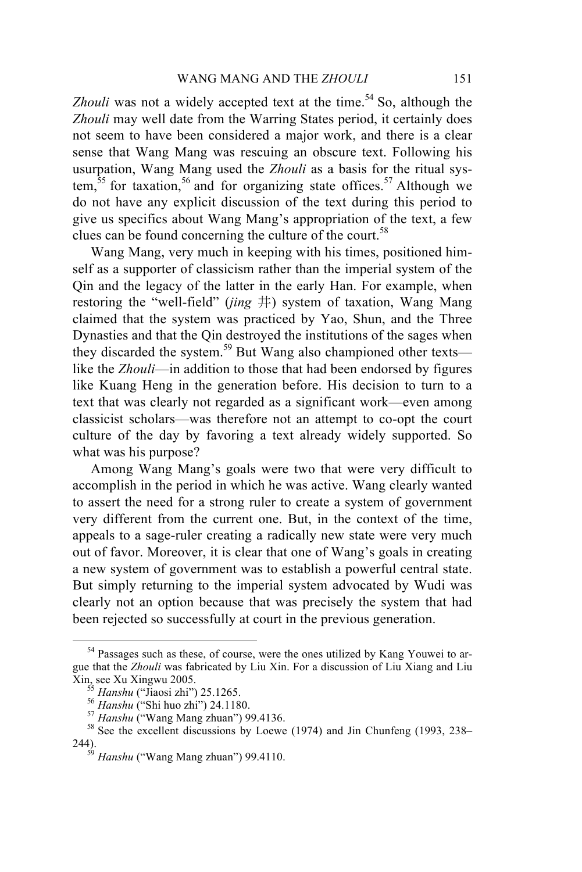*Zhouli* was not a widely accepted text at the time.<sup>54</sup> So, although the *Zhouli* may well date from the Warring States period, it certainly does not seem to have been considered a major work, and there is a clear sense that Wang Mang was rescuing an obscure text. Following his usurpation, Wang Mang used the *Zhouli* as a basis for the ritual system,  $55$  for taxation,  $56$  and for organizing state offices.  $57$  Although we do not have any explicit discussion of the text during this period to give us specifics about Wang Mang's appropriation of the text, a few clues can be found concerning the culture of the court.<sup>58</sup>

Wang Mang, very much in keeping with his times, positioned himself as a supporter of classicism rather than the imperial system of the Qin and the legacy of the latter in the early Han. For example, when restoring the "well-field" (*jing*  $\#$ ) system of taxation, Wang Mang claimed that the system was practiced by Yao, Shun, and the Three Dynasties and that the Qin destroyed the institutions of the sages when they discarded the system.<sup>59</sup> But Wang also championed other texts like the *Zhouli*—in addition to those that had been endorsed by figures like Kuang Heng in the generation before. His decision to turn to a text that was clearly not regarded as a significant work—even among classicist scholars—was therefore not an attempt to co-opt the court culture of the day by favoring a text already widely supported. So what was his purpose?

Among Wang Mang's goals were two that were very difficult to accomplish in the period in which he was active. Wang clearly wanted to assert the need for a strong ruler to create a system of government very different from the current one. But, in the context of the time, appeals to a sage-ruler creating a radically new state were very much out of favor. Moreover, it is clear that one of Wang's goals in creating a new system of government was to establish a powerful central state. But simply returning to the imperial system advocated by Wudi was clearly not an option because that was precisely the system that had been rejected so successfully at court in the previous generation.

<sup>&</sup>lt;sup>54</sup> Passages such as these, of course, were the ones utilized by Kang Youwei to argue that the *Zhouli* was fabricated by Liu Xin. For a discussion of Liu Xiang and Liu Xin<sub>2</sub>, see Xu Xingwu 2005.

<sup>&</sup>lt;sup>55</sup> Hanshu ("Jiaosi zhi") 25.1265.<br><sup>56</sup> Hanshu ("Shi huo zhi") 24.1180.<br><sup>57</sup> Hanshu ("Wang Mang zhuan") 99.4136.<br><sup>58</sup> See the excellent discussions by Loewe (1974) and Jin Chunfeng (1993, 238– 244). <sup>59</sup> *Hanshu* ("Wang Mang zhuan") 99.4110.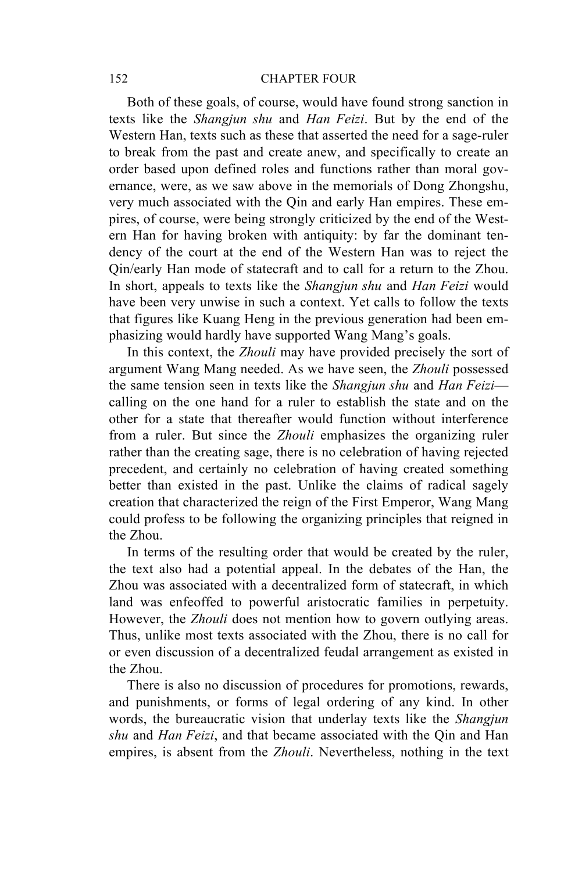Both of these goals, of course, would have found strong sanction in texts like the *Shangjun shu* and *Han Feizi*. But by the end of the Western Han, texts such as these that asserted the need for a sage-ruler to break from the past and create anew, and specifically to create an order based upon defined roles and functions rather than moral governance, were, as we saw above in the memorials of Dong Zhongshu, very much associated with the Qin and early Han empires. These empires, of course, were being strongly criticized by the end of the Western Han for having broken with antiquity: by far the dominant tendency of the court at the end of the Western Han was to reject the Qin/early Han mode of statecraft and to call for a return to the Zhou. In short, appeals to texts like the *Shangjun shu* and *Han Feizi* would have been very unwise in such a context. Yet calls to follow the texts that figures like Kuang Heng in the previous generation had been emphasizing would hardly have supported Wang Mang's goals.

In this context, the *Zhouli* may have provided precisely the sort of argument Wang Mang needed. As we have seen, the *Zhouli* possessed the same tension seen in texts like the *Shangjun shu* and *Han Feizi* calling on the one hand for a ruler to establish the state and on the other for a state that thereafter would function without interference from a ruler. But since the *Zhouli* emphasizes the organizing ruler rather than the creating sage, there is no celebration of having rejected precedent, and certainly no celebration of having created something better than existed in the past. Unlike the claims of radical sagely creation that characterized the reign of the First Emperor, Wang Mang could profess to be following the organizing principles that reigned in the Zhou.

In terms of the resulting order that would be created by the ruler, the text also had a potential appeal. In the debates of the Han, the Zhou was associated with a decentralized form of statecraft, in which land was enfeoffed to powerful aristocratic families in perpetuity. However, the *Zhouli* does not mention how to govern outlying areas. Thus, unlike most texts associated with the Zhou, there is no call for or even discussion of a decentralized feudal arrangement as existed in the Zhou.

There is also no discussion of procedures for promotions, rewards, and punishments, or forms of legal ordering of any kind. In other words, the bureaucratic vision that underlay texts like the *Shangjun shu* and *Han Feizi*, and that became associated with the Qin and Han empires, is absent from the *Zhouli*. Nevertheless, nothing in the text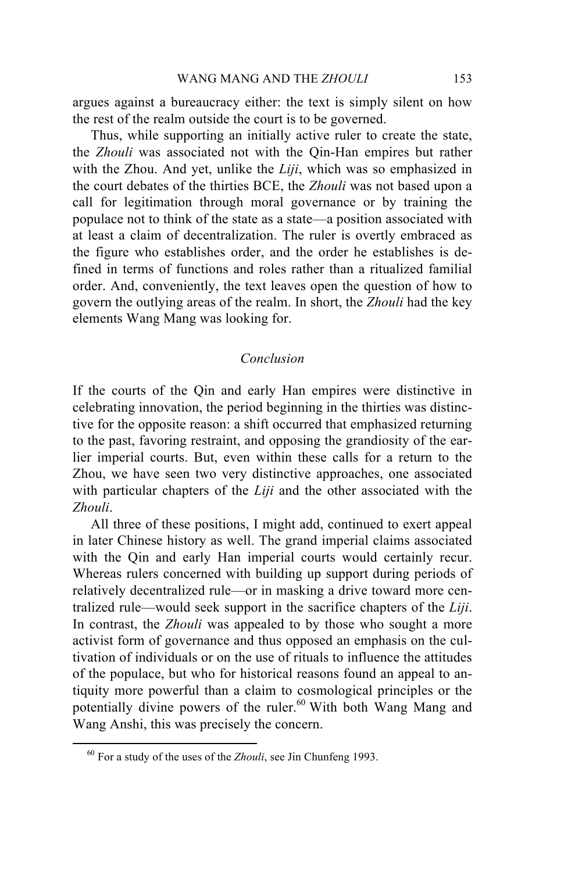argues against a bureaucracy either: the text is simply silent on how the rest of the realm outside the court is to be governed.

Thus, while supporting an initially active ruler to create the state, the *Zhouli* was associated not with the Qin-Han empires but rather with the Zhou. And yet, unlike the *Liji*, which was so emphasized in the court debates of the thirties BCE, the *Zhouli* was not based upon a call for legitimation through moral governance or by training the populace not to think of the state as a state—a position associated with at least a claim of decentralization. The ruler is overtly embraced as the figure who establishes order, and the order he establishes is defined in terms of functions and roles rather than a ritualized familial order. And, conveniently, the text leaves open the question of how to govern the outlying areas of the realm. In short, the *Zhouli* had the key elements Wang Mang was looking for.

# *Conclusion*

If the courts of the Qin and early Han empires were distinctive in celebrating innovation, the period beginning in the thirties was distinctive for the opposite reason: a shift occurred that emphasized returning to the past, favoring restraint, and opposing the grandiosity of the earlier imperial courts. But, even within these calls for a return to the Zhou, we have seen two very distinctive approaches, one associated with particular chapters of the *Liji* and the other associated with the *Zhouli*.

All three of these positions, I might add, continued to exert appeal in later Chinese history as well. The grand imperial claims associated with the Qin and early Han imperial courts would certainly recur. Whereas rulers concerned with building up support during periods of relatively decentralized rule—or in masking a drive toward more centralized rule—would seek support in the sacrifice chapters of the *Liji*. In contrast, the *Zhouli* was appealed to by those who sought a more activist form of governance and thus opposed an emphasis on the cultivation of individuals or on the use of rituals to influence the attitudes of the populace, but who for historical reasons found an appeal to antiquity more powerful than a claim to cosmological principles or the potentially divine powers of the ruler.<sup>60</sup> With both Wang Mang and Wang Anshi, this was precisely the concern.

 <sup>60</sup> For a study of the uses of the *Zhouli*, see Jin Chunfeng 1993.